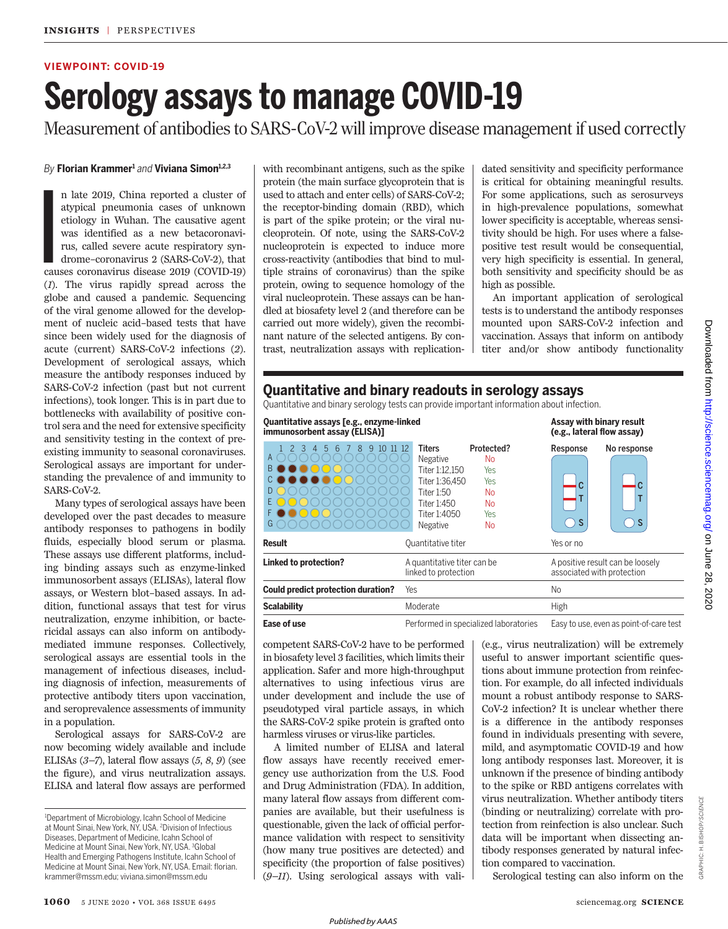# **VIEWPOINT: COVID-19**

# **Serology assays to manage COVID-19**

Measurement of antibodies to SARS-CoV-2 will improve disease management if used correctly

## *By* **F lorian Krammer<sup>1</sup>** *and* **Viviana Simon1,2,3**

I n late 2019, China reported a cluster of atypical pneumonia cases of unknown etiology in Wuhan. The causative agent was identified as a new betacoronavirus, called severe acute respiratory syndrome–coronavirus 2 (SARS-CoV-2), that causes coronavirus disease 2019 (COVID-19) (*1*). The virus rapidly spread across the globe and caused a pandemic. Sequencing of the viral genome allowed for the development of nucleic acid–based tests that have since been widely used for the diagnosis of acute (current) SARS-CoV-2 infections (*2*). Development of serological assays, which measure the antibody responses induced by SARS-CoV-2 infection (past but not current infections), took longer. This is in part due to bottlenecks with availability of positive control sera and the need for extensive specificity and sensitivity testing in the context of preexisting immunity to seasonal coronaviruses. Serological assays are important for understanding the prevalence of and immunity to SARS-CoV-2.

Many types of serological assays have been developed over the past decades to measure antibody responses to pathogens in bodily fluids, especially blood serum or plasma. These assays use different platforms, including binding assays such as enzyme-linked immunosorbent assays (ELISAs), lateral flow assays, or Western blot–based assays. In addition, functional assays that test for virus neutralization, enzyme inhibition, or bactericidal assays can also inform on antibodymediated immune responses. Collectively, serological assays are essential tools in the management of infectious diseases, including diagnosis of infection, measurements of protective antibody titers upon vaccination, and seroprevalence assessments of immunity in a population.

Serological assays for SARS-CoV-2 are now becoming widely available and include ELISAs (*3–7*), lateral flow assays (*5*, *8*, *9*) (see the figure), and virus neutralization assays. ELISA and lateral flow assays are performed with recombinant antigens, such as the spike protein (the main surface glycoprotein that is used to attach and enter cells) of SARS-CoV-2; the receptor-binding domain (RBD), which is part of the spike protein; or the viral nucleoprotein. Of note, using the SARS-CoV-2 nucleoprotein is expected to induce more cross-reactivity (antibodies that bind to multiple strains of coronavirus) than the spike protein, owing to sequence homology of the viral nucleoprotein. These assays can be handled at biosafety level 2 (and therefore can be carried out more widely), given the recombinant nature of the selected antigens. By contrast, neutralization assays with replication-

dated sensitivity and specificity performance is critical for obtaining meaningful results. For some applications, such as serosurveys in high-prevalence populations, somewhat lower specificity is acceptable, whereas sensitivity should be high. For uses where a falsepositive test result would be consequential, very high specificity is essential. In general, both sensitivity and specificity should be as high as possible.

An important application of serological tests is to understand the antibody responses mounted upon SARS-CoV-2 infection and vaccination. Assays that inform on antibody titer and/or show antibody functionality

# **Quantitative and binary readouts in serology assays**

Quantitative and binary serology tests can provide important information about infection.

| Quantitative assays [e.g., enzyme-linked<br>immunosorbent assay (ELISA)] |                                                                                                                                                                                                                    | Assay with binary result<br>(e.g., lateral flow assay)         |
|--------------------------------------------------------------------------|--------------------------------------------------------------------------------------------------------------------------------------------------------------------------------------------------------------------|----------------------------------------------------------------|
| Α<br>B<br>D<br>F<br>G                                                    | Protected?<br>Titers<br>Negative<br><b>No</b><br>Titer 1:12.150<br><b>Yes</b><br>Titer 1:36.450<br><b>Yes</b><br>Titer 1:50<br><b>No</b><br>Titer 1:450<br>N <sub>0</sub><br>Titer 1:4050<br>Yes<br>Negative<br>No | No response<br>Response<br>S<br>s                              |
| <b>Result</b>                                                            | Quantitative titer                                                                                                                                                                                                 | Yes or no                                                      |
| <b>Linked to protection?</b>                                             | A quantitative titer can be<br>linked to protection                                                                                                                                                                | A positive result can be loosely<br>associated with protection |
| Could predict protection duration?                                       | Yes                                                                                                                                                                                                                | No                                                             |
| <b>Scalability</b>                                                       | Moderate                                                                                                                                                                                                           | High                                                           |
| Ease of use                                                              | Performed in specialized laboratories                                                                                                                                                                              | Easy to use, even as point-of-care test                        |

competent SARS-CoV-2 have to be performed in biosafety level 3 facilities, which limits their application. Safer and more high-throughput alternatives to using infectious virus are under development and include the use of pseudotyped viral particle assays, in which the SARS-CoV-2 spike protein is grafted onto harmless viruses or virus-like particles.

A limited number of ELISA and lateral flow assays have recently received emergency use authorization from the U.S. Food and Drug Administration (FDA). In addition, many lateral flow assays from different companies are available, but their usefulness is questionable, given the lack of official performance validation with respect to sensitivity (how many true positives are detected) and specificity (the proportion of false positives) (*9–11*). Using serological assays with vali-

(e.g., virus neutralization) will be extremely useful to answer important scientific questions about immune protection from reinfection. For example, do all infected individuals mount a robust antibody response to SARS-CoV-2 infection? It is unclear whether there is a difference in the antibody responses found in individuals presenting with severe, mild, and asymptomatic COVID-19 and how long antibody responses last. Moreover, it is unknown if the presence of binding antibody to the spike or RBD antigens correlates with virus neutralization. Whether antibody titers (binding or neutralizing) correlate with protection from reinfection is also unclear. Such data will be important when dissecting antibody responses generated by natural infection compared to vaccination. Serological testing can also inform on the

<sup>1</sup>Department of Microbiology, Icahn School of Medicine at Mount Sinai, New York, NY, USA. <sup>2</sup>Division of Infectious Diseases, Department of Medicine, Icahn School of Medicine at Mount Sinai, New York, NY, USA. <sup>3</sup>Global Health and Emerging Pathogens Institute, Icahn School of Medicine at Mount Sinai, New York, NY, USA. Email: florian. krammer@mssm.edu; viviana.simon@mssm.edu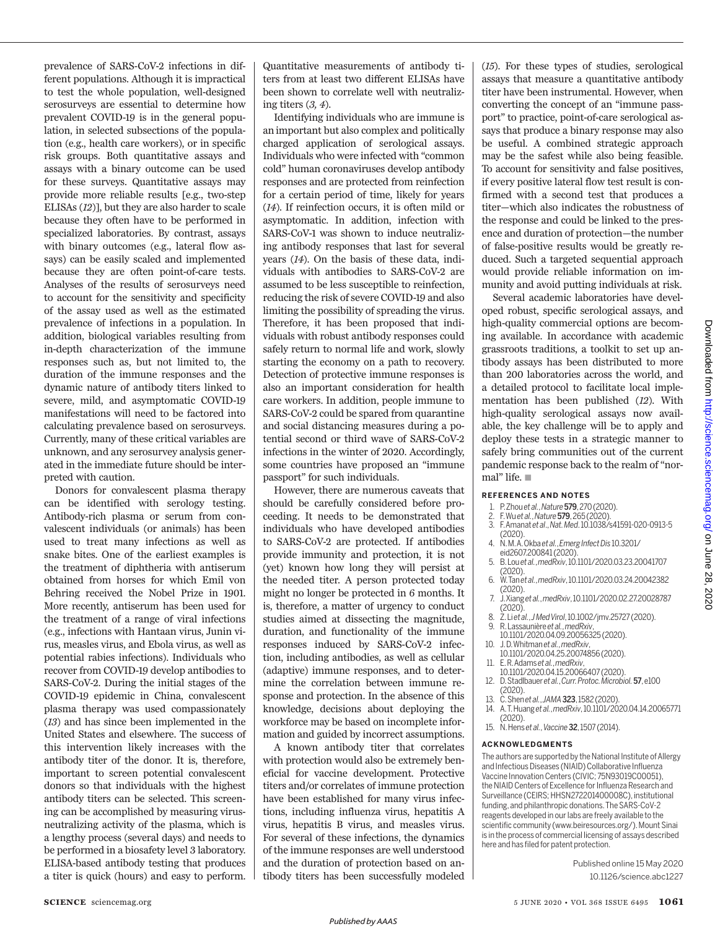prevalence of SARS-CoV-2 infections in different populations. Although it is impractical to test the whole population, well-designed serosurveys are essential to determine how prevalent COVID-19 is in the general population, in selected subsections of the population (e.g., health care workers), or in specific risk groups. Both quantitative assays and assays with a binary outcome can be used for these surveys. Quantitative assays may provide more reliable results [e.g., two-step ELISAs (*12*)], but they are also harder to scale because they often have to be performed in specialized laboratories. By contrast, assays with binary outcomes (e.g., lateral flow assays) can be easily scaled and implemented because they are often point-of-care tests. Analyses of the results of serosurveys need to account for the sensitivity and specificity of the assay used as well as the estimated prevalence of infections in a population. In addition, biological variables resulting from in-depth characterization of the immune responses such as, but not limited to, the duration of the immune responses and the dynamic nature of antibody titers linked to severe, mild, and asymptomatic COVID-19 manifestations will need to be factored into calculating prevalence based on serosurveys. Currently, many of these critical variables are unknown, and any serosurvey analysis generated in the immediate future should be interpreted with caution.

Donors for convalescent plasma therapy can be identified with serology testing. Antibody-rich plasma or serum from convalescent individuals (or animals) has been used to treat many infections as well as snake bites. One of the earliest examples is the treatment of diphtheria with antiserum obtained from horses for which Emil von Behring received the Nobel Prize in 1901. More recently, antiserum has been used for the treatment of a range of viral infections (e.g., infections with Hantaan virus, Junin virus, measles virus, and Ebola virus, as well as potential rabies infections). Individuals who recover from COVID-19 develop antibodies to SARS-CoV-2. During the initial stages of the COVID-19 epidemic in China, convalescent plasma therapy was used compassionately (*13*) and has since been implemented in the United States and elsewhere. The success of this intervention likely increases with the antibody titer of the donor. It is, therefore, important to screen potential convalescent donors so that individuals with the highest antibody titers can be selected. This screening can be accomplished by measuring virusneutralizing activity of the plasma, which is a lengthy process (several days) and needs to be performed in a biosafety level 3 laboratory. ELISA-based antibody testing that produces a titer is quick (hours) and easy to perform. Quantitative measurements of antibody titers from at least two different ELISAs have been shown to correlate well with neutralizing titers (*3, 4*).

Identifying individuals who are immune is animportant but also complex and politically charged application of serological assays. Individuals who were infected with "common cold" human coronaviruses develop antibody responses and are protected from reinfection for a certain period of time, likely for years (*14*). If reinfection occurs, it is often mild or asymptomatic. In addition, infection with SARS-CoV-1 was shown to induce neutralizing antibody responses that last for several years (*14*). On the basis of these data, individuals with antibodies to SARS-CoV-2 are assumed to be less susceptible to reinfection, reducing the risk of severe COVID-19 and also limiting the possibility of spreading the virus. Therefore, it has been proposed that individuals with robust antibody responses could safely return to normal life and work, slowly starting the economy on a path to recovery. Detection of protective immune responses is also an important consideration for health care workers. In addition, people immune to SARS-CoV-2 could be spared from quarantine and social distancing measures during a potential second or third wave of SARS-CoV-2 infections in the winter of 2020. Accordingly, some countries have proposed an "immune passport" for such individuals.

However, there are numerous caveats that should be carefully considered before proceeding. It needs to be demonstrated that individuals who have developed antibodies to SARS-CoV-2 are protected. If antibodies provide immunity and protection, it is not (yet) known how long they will persist at the needed titer. A person protected today might no longer be protected in 6 months. It is, therefore, a matter of urgency to conduct studies aimed at dissecting the magnitude, duration, and functionality of the immune responses induced by SARS-CoV-2 infection, including antibodies, as well as cellular (adaptive) immune responses, and to determine the correlation between immune response and protection. In the absence of this knowledge, decisions about deploying the workforce may be based on incomplete information and guided by incorrect assumptions.

A known antibody titer that correlates with protection would also be extremely beneficial for vaccine development. Protective titers and/or correlates of immune protection have been established for many virus infections, including influenza virus, hepatitis A virus, hepatitis B virus, and measles virus. For several of these infections, the dynamics of the immune responses are well understood and the duration of protection based on antibody titers has been successfully modeled (*15*). For these types of studies, serological assays that measure a quantitative antibody titer have been instrumental. However, when converting the concept of an "immune passport" to practice, point-of-care serological assays that produce a binary response may also be useful. A combined strategic approach may be the safest while also being feasible. To account for sensitivity and false positives, if every positive lateral flow test result is confirmed with a second test that produces a titer—which also indicates the robustness of the response and could be linked to the presence and duration of protection—the number of false-positive results would be greatly reduced. Such a targeted sequential approach would provide reliable information on immunity and avoid putting individuals at risk.

Several academic laboratories have developed robust, specific serological assays, and high-quality commercial options are becoming available. In accordance with academic grassroots traditions, a toolkit to set up antibody assays has been distributed to more than 200 laboratories across the world, and a detailed protocol to facilitate local implementation has been published (*12*). With high-quality serological assays now available, the key challenge will be to apply and deploy these tests in a strategic manner to safely bring communities out of the current pandemic response back to the realm of "normal" life.  $\blacksquare$ 

### **REFERENCES AND NOTES**

- 1. P. Zhou *et al.*, *Nature*579, 270 (2020).
- 2. F. Wu *et al.*, *Nature*579, 265 (2020).
- 3. F. Amanat *et al*., *Nat. Med*. 10.1038/s41591-020-0913-5 (2020). 4. N. M. A. Okba *et al.*, *Emerg Infect Dis* 10.3201/
- eid2607.200841 (2020).
- 5. B. Lou *et al.*, *medRxiv*, 10.1101/2020.03.23.20041707 (2020).
- 6. W. Tan *et al.*, *medRxiv*, 10.1101/2020.03.24.20042382 (2020).
- 7. J. Xiang *et al.*, *medRxiv*, 10.1101/2020.02.27.20028787 (2020).
- 8. Z. Li *et al.*, *J Med Virol*, 10.1002/jmv.25727 (2020). 9. R. Lassaunière *et al.*, *medRxiv*,
- 10.1101/2020.04.09.20056325 (2020). 10. J. D. Whitman *et al.*, *medRxiv*,
- 10.1101/2020.04.25.20074856 (2020). 11. E. R. Adams *et al.*, *medRxiv*,
- 10.1101/2020.04.15.20066407 (2020).
- 12. D. Stadlbauer *et al.*, *Curr. Protoc. Microbiol.*57, e100 (2020).
- 13. C. Shen *et al.*, *JAMA* **323**, 1582 (2020).<br>14. A. T. Huang *et al.*, *med Rxiv*, 10.1101/20 14. A. T. Huang *et al.*, *medRxiv*, 10.1101/2020.04.14.20065771
- (2020).
- 15. N. Hens *et al.*, *Vaccine*32, 1507 (2014).

### **ACKNOWLEDGMENTS**

The authors are supported by the National Institute of Allergy and Infectious Diseases (NIAID) Collaborative Influenza Vaccine Innovation Centers (CIVIC; 75N93019C00051), the NIAID Centers of Excellence for Influenza Research and Surveillance (CEIRS; HHSN272201400008C), institutional funding, and philanthropic donations. The SARS-CoV-2 reagents developed in our labs are freely available to the scientific community (www.beiresources.org/). Mount Sinai is in the process of commercial licensing of assays described here and has filed for patent protection.

> Published online 15 May 2020 10.1126/science.a bc1227